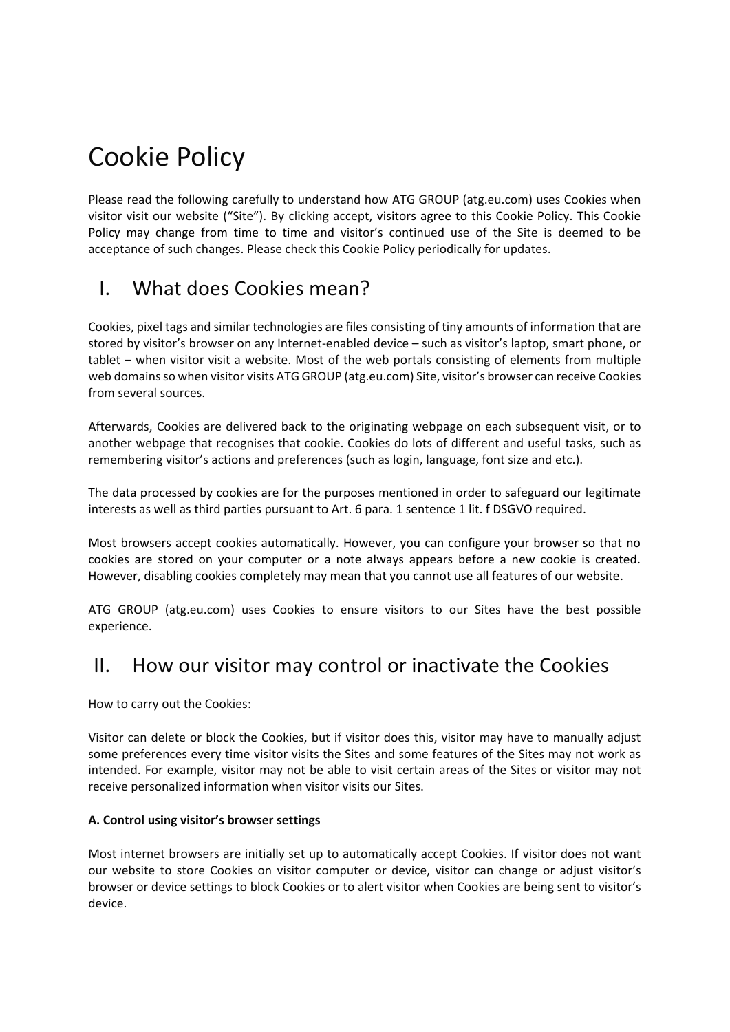# Cookie Policy

Please read the following carefully to understand how ATG GROUP (atg.eu.com) uses Cookies when visitor visit our website ("Site"). By clicking accept, visitors agree to this Cookie Policy. This Cookie Policy may change from time to time and visitor's continued use of the Site is deemed to be acceptance of such changes. Please check this Cookie Policy periodically for updates.

# I. What does Cookies mean?

Cookies, pixel tags and similar technologies are files consisting of tiny amounts of information that are stored by visitor's browser on any Internet-enabled device – such as visitor's laptop, smart phone, or tablet – when visitor visit a website. Most of the web portals consisting of elements from multiple web domains so when visitor visits ATG GROUP (atg.eu.com) Site, visitor's browser can receive Cookies from several sources.

Afterwards, Cookies are delivered back to the originating webpage on each subsequent visit, or to another webpage that recognises that cookie. Cookies do lots of different and useful tasks, such as remembering visitor's actions and preferences (such as login, language, font size and etc.).

The data processed by cookies are for the purposes mentioned in order to safeguard our legitimate interests as well as third parties pursuant to Art. 6 para. 1 sentence 1 lit. f DSGVO required.

Most browsers accept cookies automatically. However, you can configure your browser so that no cookies are stored on your computer or a note always appears before a new cookie is created. However, disabling cookies completely may mean that you cannot use all features of our website.

ATG GROUP (atg.eu.com) uses Cookies to ensure visitors to our Sites have the best possible experience.

### II. How our visitor may control or inactivate the Cookies

How to carry out the Cookies:

Visitor can delete or block the Cookies, but if visitor does this, visitor may have to manually adjust some preferences every time visitor visits the Sites and some features of the Sites may not work as intended. For example, visitor may not be able to visit certain areas of the Sites or visitor may not receive personalized information when visitor visits our Sites.

### **A. Control using visitor's browser settings**

Most internet browsers are initially set up to automatically accept Cookies. If visitor does not want our website to store Cookies on visitor computer or device, visitor can change or adjust visitor's browser or device settings to block Cookies or to alert visitor when Cookies are being sent to visitor's device.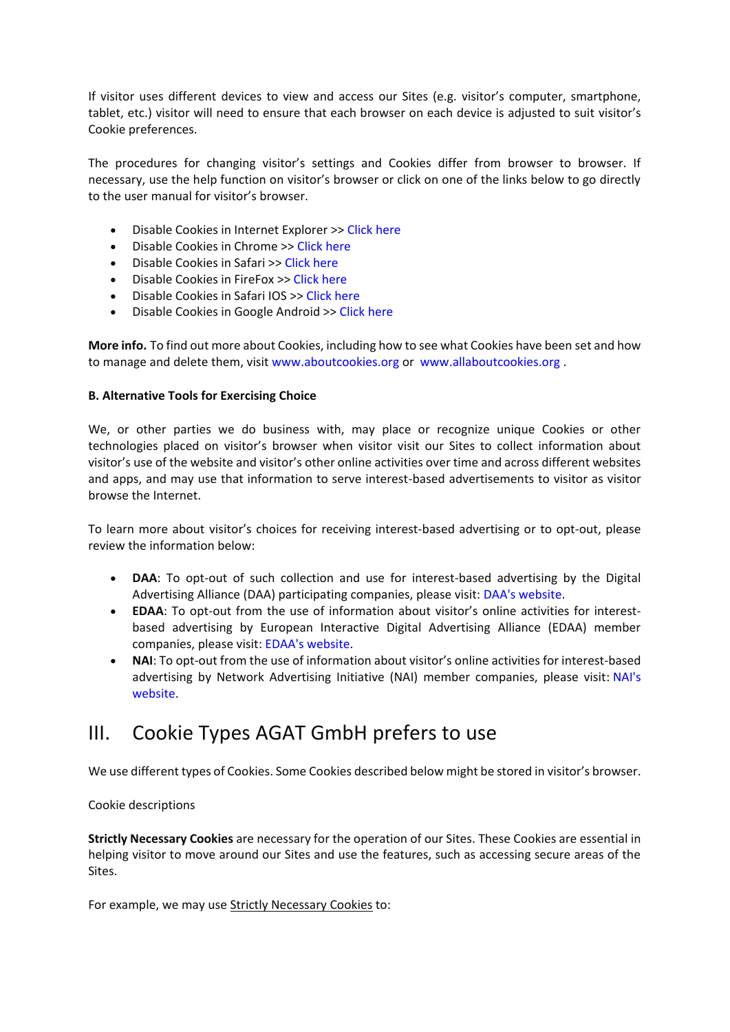If visitor uses different devices to view and access our Sites (e.g. visitor's computer, smartphone, tablet, etc.) visitor will need to ensure that each browser on each device is adjusted to suit visitor's Cookie preferences.

The procedures for changing visitor's settings and Cookies differ from browser to browser. If necessary, use the help function on visitor's browser or click on one of the links below to go directly to the user manual for visitor's browser.

- Disable Cookies in Internet Explorer >> [Click](https://support.microsoft.com/en-us/help/17442/windows-internet-explorer-delete-manage-cookies) here
- Disable Cookies in Chrome >> [Click](https://support.google.com/chrome/answer/95647?hl=en) here
- Disable Cookies in Safari >> [Click](https://support.apple.com/de-de/guide/safari/sfri11471/mac) here
- Disable Cookies in FireFox >> [Click](https://support.mozilla.org/en-US/kb/enable-and-disable-cookies-website-preferences?redirectlocale=en-US&redirectslug=Enabling+and+disabling+cookies) here
- Disable Cookies in Safari IOS >> Click [here](https://support.apple.com/en-gb/HT201265)
- Disable Cookies in Google Android >> [Click](https://support.google.com/chrome/answer/114662?hl=en&ref_topic=3422740&visit_id=1-636650043021695599-602656146&rd=1) here

**More info.** To find out more about Cookies, including how to see what Cookies have been set and how to manage and delete them, visit [www.aboutcookies.org](https://www.aboutcookies.org/) or [www.allaboutcookies.org](https://www.allaboutcookies.org/).

#### **B. Alternative Tools for Exercising Choice**

We, or other parties we do business with, may place or recognize unique Cookies or other technologies placed on visitor's browser when visitor visit our Sites to collect information about visitor's use of the website and visitor's other online activities over time and across different websites and apps, and may use that information to serve interest-based advertisements to visitor as visitor browse the Internet.

To learn more about visitor's choices for receiving interest-based advertising or to opt-out, please review the information below:

- **DAA**: To opt-out of such collection and use for interest-based advertising by the Digital Advertising Alliance (DAA) participating companies, please visit: DAA's [website.](https://www.aboutads.info/choices)
- **EDAA**: To opt-out from the use of information about visitor's online activities for interestbased advertising by European Interactive Digital Advertising Alliance (EDAA) member companies, please visit: EDAA's [website.](https://www.youronlinechoices.eu/)
- **NAI**: To opt-out from the use of information about visitor's online activities for interest-based advertising by Network Advertising Initiative (NAI) member companies, please visit: [NAI's](https://www.networkadvertising.org/choices/) [website.](https://www.networkadvertising.org/choices/)

### III. Cookie Types AGAT GmbH prefers to use

We use different types of Cookies. Some Cookies described below might be stored in visitor's browser.

#### Cookie descriptions

**Strictly Necessary Cookies** are necessary for the operation of our Sites. These Cookies are essential in helping visitor to move around our Sites and use the features, such as accessing secure areas of the Sites.

For example, we may use Strictly Necessary Cookies to: